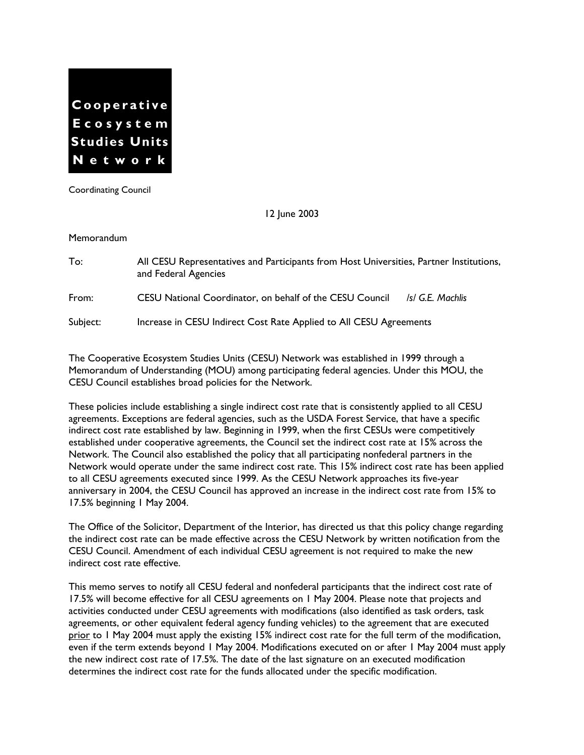

Coordinating Council

12 June 2003

Memorandum

To: All CESU Representatives and Participants from Host Universities, Partner Institutions, and Federal Agencies From: CESU National Coordinator, on behalf of the CESU Council */s/ G.E. Machlis* Subject: Increase in CESU Indirect Cost Rate Applied to All CESU Agreements

The Cooperative Ecosystem Studies Units (CESU) Network was established in 1999 through a Memorandum of Understanding (MOU) among participating federal agencies. Under this MOU, the CESU Council establishes broad policies for the Network.

These policies include establishing a single indirect cost rate that is consistently applied to all CESU agreements. Exceptions are federal agencies, such as the USDA Forest Service, that have a specific indirect cost rate established by law. Beginning in 1999, when the first CESUs were competitively established under cooperative agreements, the Council set the indirect cost rate at 15% across the Network. The Council also established the policy that all participating nonfederal partners in the Network would operate under the same indirect cost rate. This 15% indirect cost rate has been applied to all CESU agreements executed since 1999. As the CESU Network approaches its five-year anniversary in 2004, the CESU Council has approved an increase in the indirect cost rate from 15% to 17.5% beginning 1 May 2004.

The Office of the Solicitor, Department of the Interior, has directed us that this policy change regarding the indirect cost rate can be made effective across the CESU Network by written notification from the CESU Council. Amendment of each individual CESU agreement is not required to make the new indirect cost rate effective.

This memo serves to notify all CESU federal and nonfederal participants that the indirect cost rate of 17.5% will become effective for all CESU agreements on 1 May 2004. Please note that projects and activities conducted under CESU agreements with modifications (also identified as task orders, task agreements, or other equivalent federal agency funding vehicles) to the agreement that are executed prior to 1 May 2004 must apply the existing 15% indirect cost rate for the full term of the modification, even if the term extends beyond 1 May 2004. Modifications executed on or after 1 May 2004 must apply the new indirect cost rate of 17.5%. The date of the last signature on an executed modification determines the indirect cost rate for the funds allocated under the specific modification.